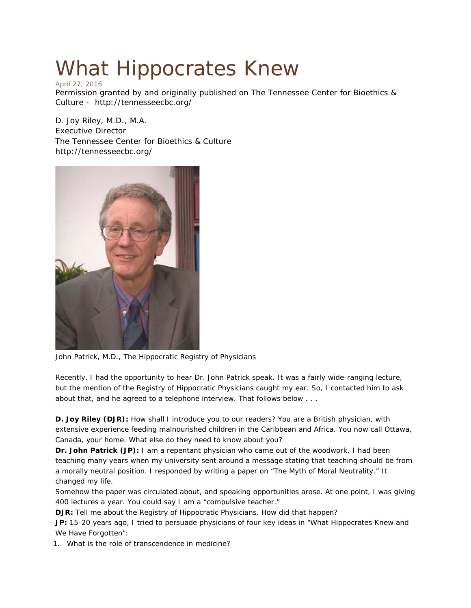## What Hippocrates Knew April 27, 2016

Permission granted by and originally published on [The Tennessee Center for Bioethics &](http://tennesseecbc.org/)  [Culture](http://tennesseecbc.org/) - <http://tennesseecbc.org/>

D. Joy Riley, M.D., M.A. Executive Director [The Tennessee Center for Bioethics & Culture](http://tennesseecbc.org/) <http://tennesseecbc.org/>



John Patrick, M.D., The Hippocratic Registry of Physicians

Recently, I had the opportunity to hear Dr. John Patrick speak. It was a fairly wide-ranging lecture, but the mention of the Registry of Hippocratic Physicians caught my ear. So, I contacted him to ask about that, and he agreed to a telephone interview. That follows below . . .

**D. Joy Riley (DJR):** How shall I introduce you to our readers? You are a British physician, with extensive experience feeding malnourished children in the Caribbean and Africa. You now call Ottawa, Canada, your home. What else do they need to know about you?

**Dr. John Patrick (JP):** I am a repentant physician who came out of the woodwork. I had been teaching many years when my university sent around a message stating that teaching should be from a morally neutral position. I responded by writing a paper on "The Myth of Moral Neutrality." It changed my life.

Somehow the paper was circulated about, and speaking opportunities arose. At one point, I was giving 400 lectures a year. You could say I am a "compulsive teacher."

**DJR:** Tell me about the Registry of [Hippocratic](http://www.hippocraticregistry.com/?page_id=1955) Physicians. How did that happen?

**JP:** 15-20 years ago, I tried to persuade physicians of four key ideas in "What Hippocrates Knew and We Have Forgotten":

1. What is the role of transcendence in medicine?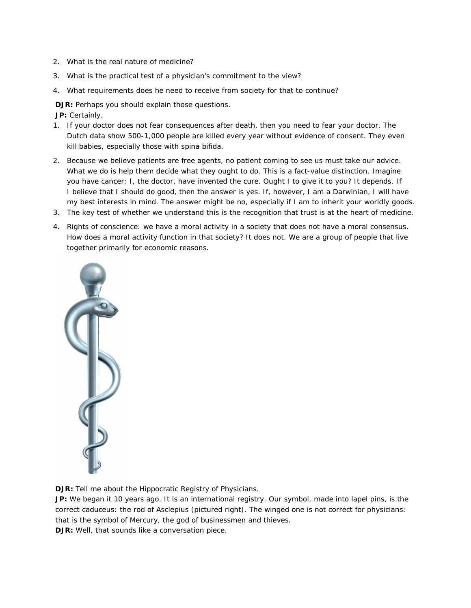- 2. What is the real nature of medicine?
- 3. What is the practical test of a physician's commitment to the view?
- 4. What requirements does he need to receive from society for that to continue?

**DJR:** Perhaps you should explain those questions.

**JP:** Certainly.

- 1. If your doctor does not fear consequences after death, then you need to fear your doctor. The Dutch data show 500-1,000 people are killed every year without evidence of consent. They even kill babies, especially those with spina bifida.
- 2. Because we believe patients are free agents, no patient coming to see us *must* take our advice. What we do is help them decide what they *ought* to do. This is a fact-value distinction. Imagine you have cancer; I, the doctor, have invented the cure. Ought I to give it to you? It depends. If I believe that I should do good, then the answer is yes. If, however, I am a Darwinian, I will have my best interests in mind. The answer might be no, especially if I am to inherit your worldly goods.
- 3. The key test of whether we understand this is the recognition that trust is at the heart of medicine.
- 4. Rights of conscience: we have a moral activity in a society that does not have a moral consensus. How does a moral activity function in that society? It does not. We are a group of people that live together primarily for economic reasons.



**DJR:** Tell me about the Hippocratic Registry of Physicians.

**JP:** We began it 10 years ago. It is an international registry. Our symbol, made into lapel pins, is the correct caduceus: the rod of [Asclepius](https://en.wikipedia.org/wiki/Rod_of_Asclepius) (pictured right). The [winged](https://en.wikipedia.org/wiki/Caduceus_as_a_symbol_of_medicine) one is not correct for physicians: that is the symbol of Mercury, the god of businessmen and thieves.

**DJR:** Well, that sounds like a conversation piece.